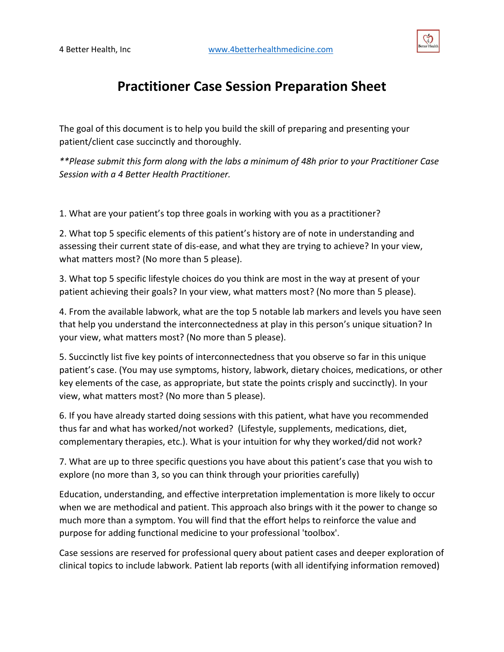

## **Practitioner Case Session Preparation Sheet**

The goal of this document is to help you build the skill of preparing and presenting your patient/client case succinctly and thoroughly.

*\*\*Please submit this form along with the labs a minimum of 48h prior to your Practitioner Case Session with a 4 Better Health Practitioner.*

1. What are your patient's top three goals in working with you as a practitioner?

2. What top 5 specific elements of this patient's history are of note in understanding and assessing their current state of dis-ease, and what they are trying to achieve? In your view, what matters most? (No more than 5 please).

3. What top 5 specific lifestyle choices do you think are most in the way at present of your patient achieving their goals? In your view, what matters most? (No more than 5 please).

4. From the available labwork, what are the top 5 notable lab markers and levels you have seen that help you understand the interconnectedness at play in this person's unique situation? In your view, what matters most? (No more than 5 please).

5. Succinctly list five key points of interconnectedness that you observe so far in this unique patient's case. (You may use symptoms, history, labwork, dietary choices, medications, or other key elements of the case, as appropriate, but state the points crisply and succinctly). In your view, what matters most? (No more than 5 please).

6. If you have already started doing sessions with this patient, what have you recommended thus far and what has worked/not worked? (Lifestyle, supplements, medications, diet, complementary therapies, etc.). What is your intuition for why they worked/did not work?

7. What are up to three specific questions you have about this patient's case that you wish to explore (no more than 3, so you can think through your priorities carefully)

Education, understanding, and effective interpretation implementation is more likely to occur when we are methodical and patient. This approach also brings with it the power to change so much more than a symptom. You will find that the effort helps to reinforce the value and purpose for adding functional medicine to your professional 'toolbox'.

Case sessions are reserved for professional query about patient cases and deeper exploration of clinical topics to include labwork. Patient lab reports (with all identifying information removed)